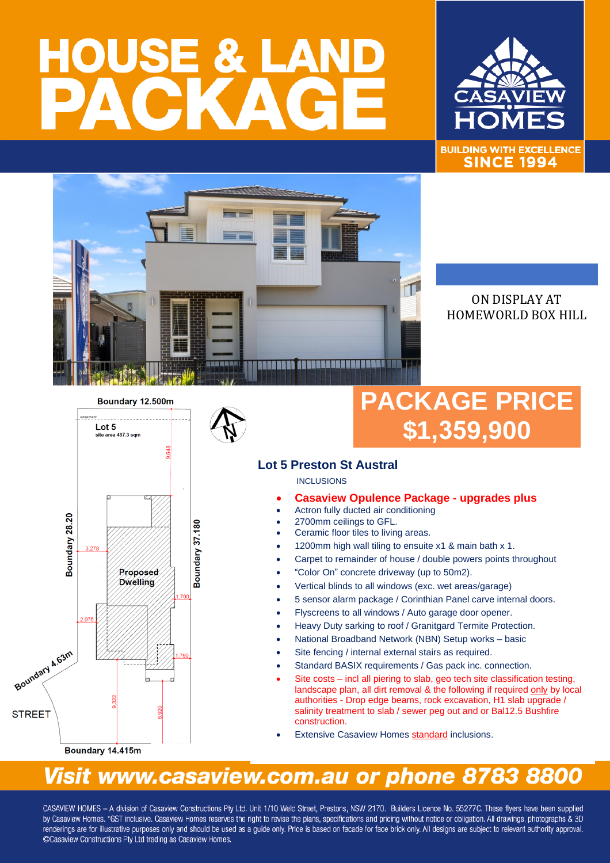# **HOUSE & LA**



**BUILDING WITH EXCELLENCE SINCE 1994** 



### ON DISPLAY AT HOMEWORLD BOX HILL

Boundary 12.500m



## **PACKAGE PRICE \$1,359,900**

#### **Lot 5 Preston St Austral**

**INCLUSIONS** 

- **Casaview Opulence Package - upgrades plus**
- Actron fully ducted air conditioning
- 2700mm ceilings to GFL.
- Ceramic floor tiles to living areas.
- 1200mm high wall tiling to ensuite x1 & main bath x 1.
- Carpet to remainder of house / double powers points throughout
- "Color On" concrete driveway (up to 50m2).
- Vertical blinds to all windows (exc. wet areas/garage)
- 5 sensor alarm package / Corinthian Panel carve internal doors.
- Flyscreens to all windows / Auto garage door opener.
- Heavy Duty sarking to roof / Granitgard Termite Protection.
- National Broadband Network (NBN) Setup works basic
- Site fencing / internal external stairs as required.
- Standard BASIX requirements / Gas pack inc. connection.
- Site costs incl all piering to slab, geo tech site classification testing, landscape plan, all dirt removal & the following if required only by local authorities - Drop edge beams, rock excavation, H1 slab upgrade / salinity treatment to slab / sewer peg out and or Bal12.5 Bushfire construction.
- **Extensive Casaview Homes standard inclusions.**

## Visit www.casaview.com.au or phone 8783 8800

CASAVIEW HOMES - A division of Casaview Constructions Pty Ltd. Unit 1/10 Weld Street, Prestons, NSW 2170. Builders Licence No. 55277C. These flyers have been supplied by Casaview Homes. \*GST inclusive. Casaview Homes reserves the right to revise the plans, specifications and pricing without notice or obligation. All drawings, photographs & 3D renderings are for illustrative purposes only and should be used as a quide only. Price is based on facade for face brick only. All designs are subject to relevant authority approval. ©Casaview Constructions Pty Ltd trading as Casaview Homes.